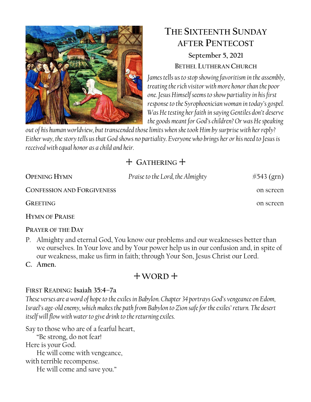

# **THE SIXTEENTH SUNDAY AFTER PENTECOST**

# **September 5, 2021 BETHEL LUTHERAN CHURCH**

*James tells us to stop showing favoritism in the assembly, treating the rich visitor with more honor than the poor one. Jesus Himself seems to show partiality in his first response to the Syrophoenician woman in today's gospel. Was He testing her faith in saying Gentiles don't deserve the goods meant for God's children? Or was He speaking* 

*out of his human worldview, but transcended those limits when she took Him by surprise with her reply? Either way, the story tells us that God shows no partiality. Everyone who brings her or his need to Jesus is received with equal honor as a child and heir.*

# + **GATHERING** +

| <b>OPENING HYMN</b>               | Praise to the Lord, the Almighty | $#543$ (grn) |
|-----------------------------------|----------------------------------|--------------|
| <b>CONFESSION AND FORGIVENESS</b> |                                  | on screen    |
| <b>GREETING</b>                   |                                  | on screen    |
| <b>HYMN OF PRAISE</b>             |                                  |              |

# **PRAYER OF THE DAY**

P. Almighty and eternal God, You know our problems and our weaknesses better than we ourselves. In Your love and by Your power help us in our confusion and, in spite of our weakness, make us firm in faith; through Your Son, Jesus Christ our Lord.

**C. Amen.** 

# + **WORD** +

# **FIRST READING: Isaiah 35:4–7a**

*These verses are a word of hope to the exiles in Babylon. Chapter 34 portrays God's vengeance on Edom, Israel's age-old enemy, which makes the path from Babylon to Zion safe for the exiles' return. The desert itself will flow with water to give drink to the returning exiles.*

Say to those who are of a fearful heart,

"Be strong, do not fear! Here is your God. He will come with vengeance, with terrible recompense. He will come and save you."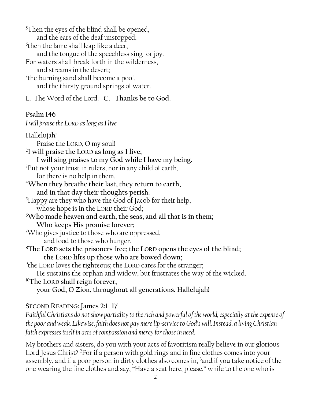<sup>5</sup>Then the eyes of the blind shall be opened, and the ears of the deaf unstopped; 6 then the lame shall leap like a deer, and the tongue of the speechless sing for joy. For waters shall break forth in the wilderness, and streams in the desert; <sup>7</sup>the burning sand shall become a pool, and the thirsty ground springs of water.

L. The Word of the Lord. **C. Thanks be to God.**

# **Psalm 146**

*I will praise the LORD as long as I live*

Hallelujah! Praise the LORD, O my soul! 2 **I will praise the LORD as long as I live; I will sing praises to my God while I have my being.**  <sup>3</sup>Put not your trust in rulers, nor in any child of earth, for there is no help in them. <sup>4</sup>**When they breathe their last, they return to earth, and in that day their thoughts perish.**  <sup>5</sup>Happy are they who have the God of Jacob for their help, whose hope is in the LORD their God; <sup>6</sup>**Who made heaven and earth, the seas, and all that is in them; Who keeps His promise forever;**  <sup>7</sup>Who gives justice to those who are oppressed, and food to those who hunger. **<sup>8</sup>The LORD sets the prisoners free; the LORD opens the eyes of the blind; the LORD lifts up those who are bowed down;** 9 the LORD loves the righteous; **t**he LORD cares for the stranger; He sustains the orphan and widow, but frustrates the way of the wicked. <sup>10</sup>**The LORD shall reign forever, your God, O Zion, throughout all generations. Hallelujah!**

**SECOND READING: James 2:1–17**

*Faithful Christians do not show partiality to the rich and powerful of the world, especially at the expense of the poor and weak. Likewise, faith does not pay mere lip-service to God's will. Instead, a living Christian faith expresses itself in acts of compassion and mercy for those in need.*

My brothers and sisters, do you with your acts of favoritism really believe in our glorious Lord Jesus Christ? <sup>2</sup>For if a person with gold rings and in fine clothes comes into your assembly, and if a poor person in dirty clothes also comes in, <sup>3</sup>and if you take notice of the one wearing the fine clothes and say, "Have a seat here, please," while to the one who is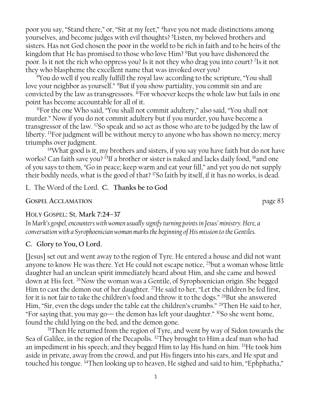poor you say, "Stand there," or, "Sit at my feet," <sup>4</sup>have you not made distinctions among yourselves, and become judges with evil thoughts? <sup>5</sup>Listen, my beloved brothers and sisters. Has not God chosen the poor in the world to be rich in faith and to be heirs of the kingdom that He has promised to those who love Him? <sup>6</sup>But you have dishonored the poor. Is it not the rich who oppress you? Is it not they who drag you into court? <sup>7</sup> Is it not they who blaspheme the excellent name that was invoked over you?

<sup>8</sup>You do well if you really fulfill the royal law according to the scripture, "You shall love your neighbor as yourself." <sup>9</sup>But if you show partiality, you commit sin and are convicted by the law as transgressors. <sup>10</sup>For whoever keeps the whole law but fails in one point has become accountable for all of it.

<sup>11</sup>For the one Who said, "You shall not commit adultery," also said, "You shall not murder." Now if you do not commit adultery but if you murder, you have become a transgressor of the law. <sup>12</sup>So speak and so act as those who are to be judged by the law of liberty. <sup>13</sup>For judgment will be without mercy to anyone who has shown no mercy; mercy triumphs over judgment.

 $14$ What good is it, my brothers and sisters, if you say you have faith but do not have works? Can faith save you? <sup>15</sup>If a brother or sister is naked and lacks daily food, <sup>16</sup>and one of you says to them, "Go in peace; keep warm and eat your fill," and yet you do not supply their bodily needs, what is the good of that? <sup>17</sup>So faith by itself, if it has no works, is dead.

L. The Word of the Lord. **C. Thanks be to God**

#### **GOSPEL ACCLAMATION** page 83

#### HOLY GOSPEL: St. **Mark 7:24–37**

*In Mark's gospel, encounters with women usually signify turning points in Jesus' ministry. Here, a conversation with a Syrophoenician woman marks the beginning of His mission to the Gentiles.*

#### **C. Glory to You, O Lord.**

[Jesus] set out and went away to the region of Tyre. He entered a house and did not want anyone to know He was there. Yet He could not escape notice, <sup>25</sup>but a woman whose little daughter had an unclean spirit immediately heard about Him, and she came and bowed down at His feet. <sup>26</sup>Now the woman was a Gentile, of Syrophoenician origin. She begged Him to cast the demon out of her daughter. <sup>27</sup>He said to her, "Let the children be fed first, for it is not fair to take the children's food and throw it to the dogs." <sup>28</sup>But she answered Him, "Sir, even the dogs under the table eat the children's crumbs." <sup>29</sup>Then He said to her, "For saying that, you may go— the demon has left your daughter." <sup>30</sup>So she went home, found the child lying on the bed, and the demon gone.

<sup>31</sup>Then He returned from the region of Tyre, and went by way of Sidon towards the Sea of Galilee, in the region of the Decapolis. <sup>32</sup>They brought to Him a deaf man who had an impediment in his speech; and they begged Him to lay His hand on him. <sup>33</sup>He took him aside in private, away from the crowd, and put His fingers into his ears, and He spat and touched his tongue. 34Then looking up to heaven, He sighed and said to him, "Ephphatha,"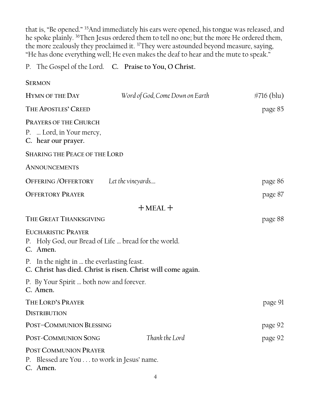that is, "Be opened." <sup>35</sup>And immediately his ears were opened, his tongue was released, and he spoke plainly. <sup>36</sup>Then Jesus ordered them to tell no one; but the more He ordered them, the more zealously they proclaimed it. <sup>37</sup>They were astounded beyond measure, saying, "He has done everything well; He even makes the deaf to hear and the mute to speak."

### P. The Gospel of the Lord. **C. Praise to You, O Christ.**

| <b>SERMON</b>                                                                                 |                                                              |               |
|-----------------------------------------------------------------------------------------------|--------------------------------------------------------------|---------------|
| <b>HYMN OF THE DAY</b>                                                                        | Word of God, Come Down on Earth                              | $\#716$ (blu) |
| THE APOSTLES' CREED                                                                           |                                                              | page 85       |
| <b>PRAYERS OF THE CHURCH</b><br>P.  Lord, in Your mercy,<br>C. hear our prayer.               |                                                              |               |
| <b>SHARING THE PEACE OF THE LORD</b>                                                          |                                                              |               |
| <b>ANNOUNCEMENTS</b>                                                                          |                                                              |               |
| OFFERING/OFFERTORY                                                                            | Let the vineyards                                            | page 86       |
| <b>OFFERTORY PRAYER</b>                                                                       |                                                              | page 87       |
|                                                                                               | $+$ MEAL $+$                                                 |               |
| THE GREAT THANKSGIVING                                                                        |                                                              | page 88       |
| <b>EUCHARISTIC PRAYER</b><br>P. Holy God, our Bread of Life  bread for the world.<br>C. Amen. |                                                              |               |
| P. In the night in  the everlasting feast.                                                    | C. Christ has died. Christ is risen. Christ will come again. |               |
| P. By Your Spirit  both now and forever.<br>C. Amen.                                          |                                                              |               |
| THE LORD'S PRAYER                                                                             |                                                              | page 91       |
| <b>DISTRIBUTION</b>                                                                           |                                                              |               |
| POST-COMMUNION BLESSING                                                                       |                                                              | page 92       |
| POST-COMMUNION SONG                                                                           | Thank the Lord                                               | page 92       |
| <b>POST COMMUNION PRAYER</b><br>P. Blessed are You to work in Jesus' name.<br>C. Amen.        |                                                              |               |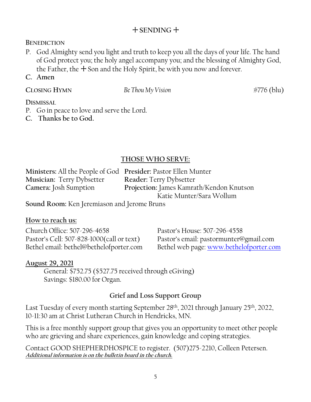# + **SENDING** +

#### **BENEDICTION**

- P. God Almighty send you light and truth to keep you all the days of your life. The hand of God protect you; the holy angel accompany you; and the blessing of Almighty God, the Father, the  $+$  Son and the Holy Spirit, be with you now and forever.
- **C. Amen**

**CLOSING HYMN** *Be Thou My Vision* #776 (blu)

#### **DISMISSAL**

- P. Go in peace to love and serve the Lord.
- **C. Thanks be to God.**

#### **THOSE WHO SERVE:**

| Ministers: All the People of God Presider: Pastor Ellen Munter |                                          |
|----------------------------------------------------------------|------------------------------------------|
| <b>Musician: Terry Dybsetter</b>                               | <b>Reader: Terry Dybsetter</b>           |
| Camera: Josh Sumption                                          | Projection: James Kamrath/Kendon Knutson |
|                                                                | Katie Munter/Sara Wollum                 |

**Sound Room:** Ken Jeremiason and Jerome Bruns

#### **How to reach us:**

Church Office: 507-296-4658 Pastor's House: 507-296-4558 Pastor's Cell: 507-828-1000(call or text) Pastor's email: pastormunter@gmail.com Bethel email: bethel@bethelofporter.com Bethel web page: [www.bethelofporter.com](http://www.bethelofporter.com/)

#### **August 29, 2021**

 General: \$752.75 (\$527.75 received through eGiving) Savings: \$180.00 for Organ.

# **Grief and Loss Support Group**

Last Tuesday of every month starting September 28<sup>th</sup>, 2021 through January 25<sup>th</sup>, 2022, 10-11:30 am at Christ Lutheran Church in Hendricks, MN.

This is a free monthly support group that gives you an opportunity to meet other people who are grieving and share experiences, gain knowledge and coping strategies.

Contact GOOD SHEPHERDHOSPICE to register. (507)275-2210, Colleen Petersen. **Additional information is on the bulletin board in the church.**